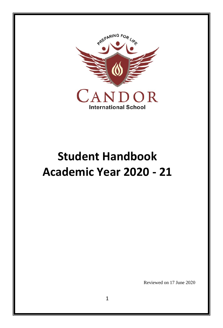

# **Student Handbook Academic Year 2020 - 21**

Reviewed on 17 June 2020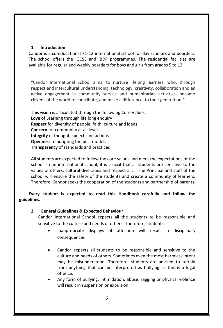#### **1. Introduction**

Candor is a co-educational K1-12 international school for day scholars and boarders. The school offers the IGCSE and IBDP programmes. The residential facilities are available for regular and weekly boarders for boys and girls from grades 5 to 12.

"Candor International School aims, to nurture lifelong learners, who, through respect and intercultural understanding, technology, creativity, collaboration and an active engagement in community service and humanitarian activities, become citizens of the world to contribute, and make a difference, to their generation."

This vision is articulated through the following Core Values: **Love** of Learning through life long enquiry **Respect** for diversity of people, faith, culture and ideas **Concern** for community at all levels **Integrity** of thought, speech and actions **Openness** to adopting the best models **Transparency** of standards and practices

All students are expected to follow the core values and meet the expectations of the school. In an international school, it is crucial that all students are sensitive to the values of others, cultural diversities and respect all. The Principal and staff of the school will ensure the safety of the students and create a community of learners. Therefore, Candor seeks the cooperation of the students and partnership of parents.

**Every student is expected to read this Handbook carefully and follow the guidelines.** 

#### **2. General Guidelines & Expected Behaviour**

Candor International School expects all the students to be responsible and sensitive to the culture and needs of others. Therefore, students:

- Inappropriate displays of affection will result in disciplinary consequences
- Candor expects all students to be responsible and sensitive to the culture and needs of others. Sometimes even the most harmless intent may be misunderstood. Therefore, students are advised to refrain from anything that can be interpreted as bullying as this is a legal offence.
- Any form of bullying, intimidation, abuse, ragging or physical violence will result in suspension or expulsion.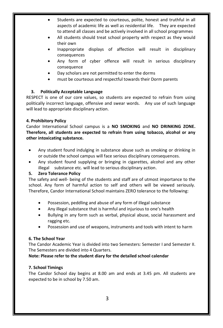- Students are expected to courteous, polite, honest and truthful in all aspects of academic life as well as residential life. They are expected to attend all classes and be actively involved in all school programmes
- All students should treat school property with respect as they would their own
- Inappropriate displays of affection will result in disciplinary consequences
- Any form of cyber offence will result in serious disciplinary consequence
- Day scholars are not permitted to enter the dorms
- must be courteous and respectful towards their Dorm parents

#### **3. Politically Acceptable Language**

RESPECT is one of our core values, so students are expected to refrain from using politically incorrect language, offensive and swear words. Any use of such language will lead to appropriate disciplinary action.

# **4. Prohibitory Policy**

Candor International School campus is a **NO SMOKING** and **NO DRINKING ZONE. Therefore, all students are expected to refrain from using tobacco, alcohol or any other intoxicating substance.**

- Any student found indulging in substance abuse such as smoking or drinking in or outside the school campus will face serious disciplinary consequences.
- Any student found supplying or bringing in cigarettes, alcohol and any other illegal substance etc. will lead to serious disciplinary action.

# **5. Zero Tolerance Policy**

The safety and well- being of the students and staff are of utmost importance to the school. Any form of harmful action to self and others will be viewed seriously. Therefore, Candor International School maintains ZERO tolerance to the following:

- Possession, peddling and abuse of any form of illegal substance
- Any illegal substance that is harmful and injurious to one's health
- Bullying in any form such as verbal, physical abuse, social harassment and ragging etc.
- Possession and use of weapons, instruments and tools with intent to harm

# **6. The School Year**

The Candor Academic Year is divided into two Semesters: Semester I and Semester II. The Semesters are divided into 4 Quarters.

**Note: Please refer to the student diary for the detailed school calendar** 

#### **7. School Timings**

The Candor School day begins at 8.00 am and ends at 3.45 pm. All students are expected to be in school by 7.50 am.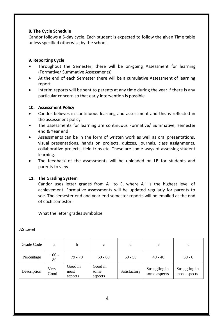#### **8. The Cycle Schedule**

Candor follows a 5-day cycle. Each student is expected to follow the given Time table unless specified otherwise by the school.

#### **9. Reporting Cycle**

- Throughout the Semester, there will be on-going Assessment for learning (Formative/ Summative Assessments)
- At the end of each Semester there will be a cumulative Assessment of learning report
- Interim reports will be sent to parents at any time during the year if there is any particular concern so that early intervention is possible

#### **10. Assessment Policy**

- Candor believes in continuous learning and assessment and this is reflected in the assessment policy.
- The assessments for learning are continuous Formative/ Summative, semester end & Year end.
- Assessments can be in the form of written work as well as oral presentations, visual presentations, hands on projects, quizzes, journals, class assignments, collaborative projects, field trips etc. These are some ways of assessing student learning.
- The feedback of the assessments will be uploaded on LB for students and parents to view.

#### **11. The Grading System**

Candor uses letter grades from A+ to E, where A+ is the highest level of achievement. Formative assessments will be updated regularly for parents to see. The semester end and year end semester reports will be emailed at the end of each semester.

What the letter grades symbolize

| Grade Code  | a             | h                          | $\mathbf c$                |              | e                             | u                             |
|-------------|---------------|----------------------------|----------------------------|--------------|-------------------------------|-------------------------------|
| Percentage  | $100 -$<br>80 | $79 - 70$                  | $69 - 60$                  | $59 - 50$    | $49 - 40$                     | $39 - 0$                      |
| Description | Very<br>Good  | Good in<br>most<br>aspects | Good in<br>some<br>aspects | Satisfactory | Struggling in<br>some aspects | Struggling in<br>most aspects |

AS Level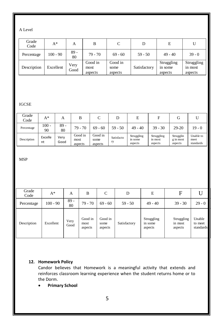## A Level

| Grade<br>Code | $A^*$     | А            | B                          |                            |              | E                                |                                  |
|---------------|-----------|--------------|----------------------------|----------------------------|--------------|----------------------------------|----------------------------------|
| Percentage    | 100 - 90  | $89 -$<br>80 | $79 - 70$                  | $69 - 60$                  | $59 - 50$    | $49 - 40$                        | $39 - 0$                         |
| Description   | Excellent | Very<br>Good | Good in<br>most<br>aspects | Good in<br>some<br>aspects | Satisfactory | Struggling<br>in some<br>aspects | Struggling<br>in most<br>aspects |

# IGCSE

| Grade<br>Code | $A^*$         | А            | В                          |                            |                  | E                                | F                                | G                                 |                                |
|---------------|---------------|--------------|----------------------------|----------------------------|------------------|----------------------------------|----------------------------------|-----------------------------------|--------------------------------|
| Percentage    | 100 -<br>90   | $89 -$<br>80 | $79 - 70$                  | $69 - 60$                  | $59 - 50$        | $49 - 40$                        | $39 - 30$                        | $29-20$                           | $19 - 0$                       |
| Description   | Excelle<br>nt | Very<br>Good | Good in<br>most<br>aspects | Good in<br>some<br>aspects | Satisfacto<br>ry | Struggling<br>in some<br>aspects | Struggling<br>in most<br>aspects | Strugglin<br>g in most<br>aspects | Unable to<br>meet<br>standards |

# MSP

| Grade<br>Code | $A^*$      | A            | B                          | C                          | D            | E                                | F                                | U                              |
|---------------|------------|--------------|----------------------------|----------------------------|--------------|----------------------------------|----------------------------------|--------------------------------|
| Percentage    | $100 - 90$ | $89 -$<br>80 | $79 - 70$                  | $69 - 60$                  | $59 - 50$    | $49 - 40$                        | $39 - 30$                        | $29 - 0$                       |
| Description   | Excellent  | Very<br>Good | Good in<br>most<br>aspects | Good in<br>some<br>aspects | Satisfactory | Struggling<br>in some<br>aspects | Struggling<br>in most<br>aspects | Unable<br>to meet<br>standards |

# **12. Homework Policy**

Candor believes that Homework is a meaningful activity that extends and reinforces classroom learning experience when the student returns home or to the Dorm.

# **Primary School**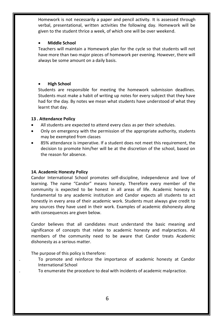Homework is not necessarily a paper and pencil activity. It is assessed through verbal, presentational, written activities the following day. Homework will be given to the student thrice a week, of which one will be over weekend.

#### **Middle School**

Teachers will maintain a Homework plan for the cycle so that students will not have more than two major pieces of homework per evening. However, there will always be some amount on a daily basis.

#### **High School**

Students are responsible for meeting the homework submission deadlines. Students must make a habit of writing up notes for every subject that they have had for the day. By notes we mean what students have understood of what they learnt that day.

#### **13 . Attendance Policy**

- All students are expected to attend every class as per their schedules.
- Only on emergency with the permission of the appropriate authority, students may be exempted from classes
- 85% attendance is imperative. If a student does not meet this requirement, the decision to promote him/her will be at the discretion of the school, based on the reason for absence.

#### **14. Academic Honesty Policy**

Candor International School promotes self-discipline, independence and love of learning. The name "Candor" means honesty. Therefore every member of the community is expected to be honest in all areas of life. Academic honesty is fundamental to any academic institution and Candor expects all students to act honestly in every area of their academic work. Students must always give credit to any sources they have used in their work. Examples of academic dishonesty along with consequences are given below.

Candor believes that all candidates must understand the basic meaning and significance of concepts that relate to academic honesty and malpractices. All members of the community need to be aware that Candor treats Academic dishonesty as a serious matter.

The purpose of this policy is therefore:

- . To promote and reinforce the importance of academic honesty at Candor International School
- . To enumerate the procedure to deal with incidents of academic malpractice.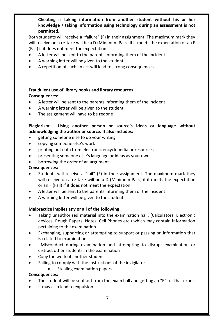**Cheating is taking information from another student without his or her knowledge / taking information using technology during an assessment is not permitted.**

Both students will receive a "failure" (F) in their assignment. The maximum mark they will receive on a re-take will be a D (Minimum Pass) if it meets the expectation or an F (Fail) if it does not meet the expectation

- A letter will be sent to the parents informing them of the incident
- A warning letter will be given to the student
- A repetition of such an act will lead to strong consequences.

# **Fraudulent use of library books and library resources**

#### **Consequences:**

- A letter will be sent to the parents informing them of the incident
- A warning letter will be given to the student
- The assignment will have to be redone

#### **Plagiarism: Using another person or source's ideas or language without acknowledging the author or source. It also includes:**

- getting someone else to do your writing
- copying someone else's work
- printing out data from electronic encyclopedia or resources
- presenting someone else's language or ideas as your own
- borrowing the order of an argument

#### **Consequences:**

- Students will receive a "fail" (F) in their assignment. The maximum mark they will receive on a re-take will be a D (Minimum Pass) if it meets the expectation or an F (Fail) if it does not meet the expectation
- A letter will be sent to the parents informing them of the incident
- A warning letter will be given to the student

#### **Malpractice implies any or all of the following**

- Taking unauthorized material into the examination hall, (Calculators, Electronic devices, Rough Papers, Notes, Cell Phones etc.) which may contain information pertaining to the examination.
- Exchanging, supporting or attempting to support or passing on information that is related to examination.
- Misconduct during examination and attempting to disrupt examination or distract other students in the examination
- Copy the work of another student
- Failing to comply with the instructions of the invigilator
	- Stealing examination papers

#### **Consequences:**

- The student will be sent out from the exam hall and getting an "F" for that exam
- It may also lead to expulsion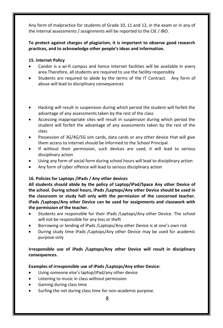Any form of malpractice for students of Grade 10, 11 and 12, in the exam or in any of the internal assessments / assignments will be reported to the CIE / IBO.

# **To protect against charges of plagiarism, it is important to observe good research practices, and to acknowledge other people's ideas and information.**

#### **15. Internet Policy**

- Candor is a wi-fi campus and hence Internet facilities will be available in every area Therefore, all students are required to use the facility responsibly
- Students are required to abide by the terms of the IT Contract. Any form of abuse will lead to disciplinary consequences
- Hacking will result in suspension during which period the student will forfeit the advantage of any assessments taken by the rest of the class
- Accessing inappropriate sites will result in suspension during which period the student will forfeit the advantage of any assessments taken by the rest of the class
- Possession of 3G/4G/5G sim cards, data cards or any other device that will give them access to internet should be informed to the School Principal.
- If without their permission, such devices are used, it will lead to serious disciplinary action
- Using any form of social form during school hours will lead to disciplinary action
- Any form of cyber offence will lead to serious disciplinary action

# **16. Policies for Laptops /iPads / Any other devices**

**All students should abide by the policy of Laptop/iPad/Space Any other Device of the school. During school hours, iPads /Laptops/Any other Device should be used in the classroom or study hall only with the permission of the concerned teacher. iPads /Laptops/Any other Device can be used for assignments and classwork with the permission of the teacher.** 

- Students are responsible for their iPads /Laptops/Any other Device. The school will not be responsible for any loss or theft
- Borrowing or lending of iPads /Laptops/Any other Device is at one's own risk
- During study time iPads /Laptops/Any other Device may be used for academic purpose only

# **Irresponsible use of iPads /Laptops/Any other Device will result in disciplinary consequences.**

#### **Examples of irresponsible use of iPads /Laptops/Any other Device:**

- Using someone else's laptop/iPad/any other device
- Listening to music in class without permission
- Gaming during class time
- Surfing the net during class time for non-academic purpose.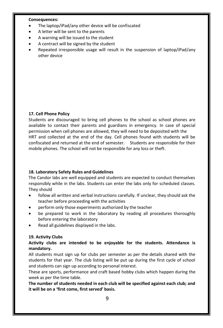#### **Consequences:**

- The laptop/iPad/any other device will be confiscated
- A letter will be sent to the parents
- A warning will be issued to the student
- A contract will be signed by the student
- Repeated irresponsible usage will result in the suspension of laptop/iPad/any other device

#### **17. Cell Phone Policy**

Students are discouraged to bring cell phones to the school as school phones are available to contact their parents and guardians in emergency. In case of special permission when cell phones are allowed, they will need to be deposited with the HRT and collected at the end of the day. Cell phones found with students will be confiscated and returned at the end of semester. Students are responsible for their mobile phones. The school will not be responsible for any loss or theft.

#### **18. Laboratory Safety Rules and Guidelines**

The Candor labs are well equipped and students are expected to conduct themselves responsibly while in the labs. Students can enter the labs only for scheduled classes. They should

- follow all written and verbal instructions carefully. If unclear, they should ask the teacher before proceeding with the activities
- perform only those experiments authorized by the teacher
- be prepared to work in the laboratory by reading all procedures thoroughly before entering the laboratory
- Read all guidelines displayed in the labs.

#### **19. Activity Clubs**

# **Activity clubs are intended to be enjoyable for the students. Attendance is mandatory.**

All students must sign up for clubs per semester as per the details shared with the students for that year. The club listing will be put up during the first cycle of school and students can sign up according to personal interest.

These are sports, performance and craft based hobby clubs which happen during the week as per the time table.

**The number of students needed in each club will be specified against each club; and it will be on a 'first come, first served' basis.**